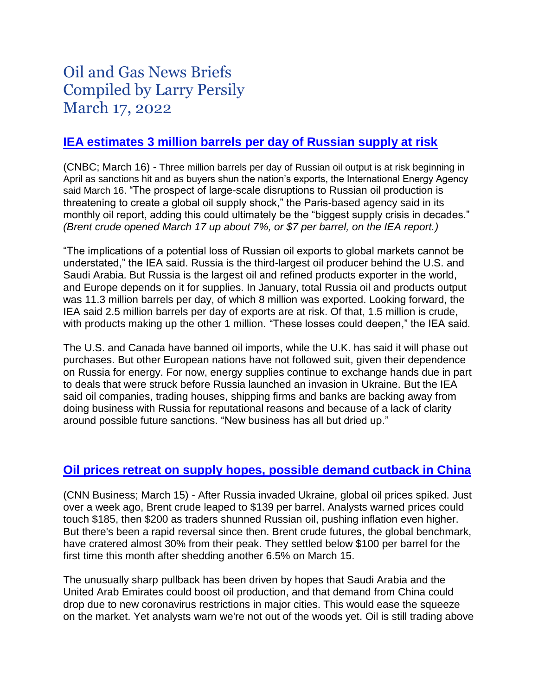# Oil and Gas News Briefs Compiled by Larry Persily March 17, 2022

# **[IEA estimates 3 million barrels per day of Russian supply at risk](https://www.cnbc.com/2022/03/16/oil-market-heads-for-biggest-supply-crisis-in-decades-with-russias-exports-set-to-fall-iea-says.html)**

(CNBC; March 16) - Three million barrels per day of Russian oil output is at risk beginning in April as sanctions hit and as buyers shun the nation's exports, the International Energy Agency said March 16. "The prospect of large-scale disruptions to Russian oil production is threatening to create a global oil supply shock," the Paris-based agency said in its monthly oil report, adding this could ultimately be the "biggest supply crisis in decades." *(Brent crude opened March 17 up about 7%, or \$7 per barrel, on the IEA report.)*

"The implications of a potential loss of Russian oil exports to global markets cannot be understated," the IEA said. Russia is the third-largest oil producer behind the U.S. and Saudi Arabia. But Russia is the largest oil and refined products exporter in the world, and Europe depends on it for supplies. In January, total Russia oil and products output was 11.3 million barrels per day, of which 8 million was exported. Looking forward, the IEA said 2.5 million barrels per day of exports are at risk. Of that, 1.5 million is crude, with products making up the other 1 million. "These losses could deepen," the IEA said.

The U.S. and Canada have banned oil imports, while the U.K. has said it will phase out purchases. But other European nations have not followed suit, given their dependence on Russia for energy. For now, energy supplies continue to exchange hands due in part to deals that were struck before Russia launched an invasion in Ukraine. But the IEA said oil companies, trading houses, shipping firms and banks are backing away from doing business with Russia for reputational reasons and because of a lack of clarity around possible future sanctions. "New business has all but dried up."

### **Oil prices retreat [on supply hopes, possible demand cutback in China](https://www.cnn.com/2022/03/15/investing/premarket-stocks-trading/index.html)**

(CNN Business; March 15) - After Russia invaded Ukraine, global oil prices spiked. Just over a week ago, Brent crude leaped to \$139 per barrel. Analysts warned prices could touch \$185, then \$200 as traders shunned Russian oil, pushing inflation even higher. But there's been a rapid reversal since then. Brent crude futures, the global benchmark, have cratered almost 30% from their peak. They settled below \$100 per barrel for the first time this month after shedding another 6.5% on March 15.

The unusually sharp pullback has been driven by hopes that Saudi Arabia and the United Arab Emirates could boost oil production, and that demand from China could drop due to new coronavirus restrictions in major cities. This would ease the squeeze on the market. Yet analysts warn we're not out of the woods yet. Oil is still trading above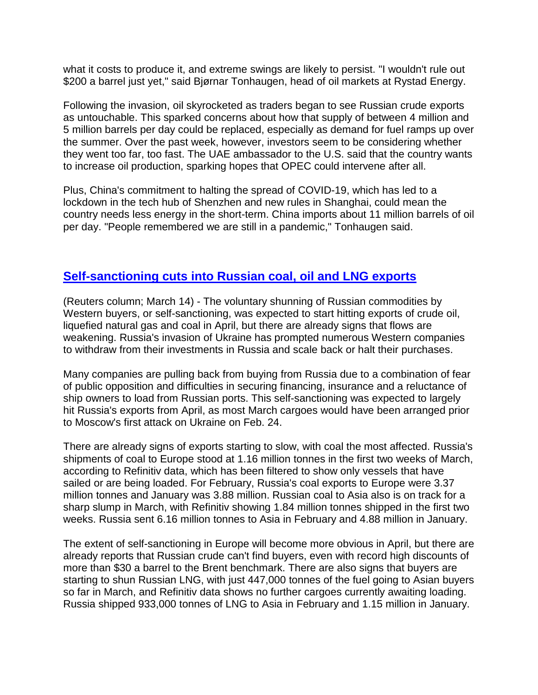what it costs to produce it, and extreme swings are likely to persist. "I wouldn't rule out \$200 a barrel just yet," said Bjørnar Tonhaugen, head of oil markets at Rystad Energy.

Following the invasion, oil skyrocketed as traders began to see Russian crude exports as untouchable. This sparked concerns about how that supply of between 4 million and 5 million barrels per day could be replaced, especially as demand for fuel ramps up over the summer. Over the past week, however, investors seem to be considering whether they went too far, too fast. The UAE ambassador to the U.S. said that the country wants to increase oil production, sparking hopes that OPEC could intervene after all.

Plus, China's commitment to halting the spread of COVID-19, which has led to a lockdown in the tech hub of Shenzhen and new rules in Shanghai, could mean the country needs less energy in the short-term. China imports about 11 million barrels of oil per day. "People remembered we are still in a pandemic," Tonhaugen said.

# **Self-sanctioning cuts [into Russian coal, oil and LNG exports](https://www.reuters.com/business/energy/russias-exports-coal-crude-lng-slipping-self-sanctioning-starts-russell-2022-03-15/)**

(Reuters column; March 14) - The voluntary shunning of Russian commodities by Western buyers, or self-sanctioning, was expected to start hitting exports of crude oil, liquefied natural gas and coal in April, but there are already signs that flows are weakening. Russia's invasion of Ukraine has prompted numerous Western companies to withdraw from their investments in Russia and scale back or halt their purchases.

Many companies are pulling back from buying from Russia due to a combination of fear of public opposition and difficulties in securing financing, insurance and a reluctance of ship owners to load from Russian ports. This self-sanctioning was expected to largely hit Russia's exports from April, as most March cargoes would have been arranged prior to Moscow's first attack on Ukraine on Feb. 24.

There are already signs of exports starting to slow, with coal the most affected. Russia's shipments of coal to Europe stood at 1.16 million tonnes in the first two weeks of March, according to Refinitiv data, which has been filtered to show only vessels that have sailed or are being loaded. For February, Russia's coal exports to Europe were 3.37 million tonnes and January was 3.88 million. Russian coal to Asia also is on track for a sharp slump in March, with Refinitiv showing 1.84 million tonnes shipped in the first two weeks. Russia sent 6.16 million tonnes to Asia in February and 4.88 million in January.

The extent of self-sanctioning in Europe will become more obvious in April, but there are already reports that Russian crude can't find buyers, even with record high discounts of more than \$30 a barrel to the Brent benchmark. There are also signs that buyers are starting to shun Russian LNG, with just 447,000 tonnes of the fuel going to Asian buyers so far in March, and Refinitiv data shows no further cargoes currently awaiting loading. Russia shipped 933,000 tonnes of LNG to Asia in February and 1.15 million in January.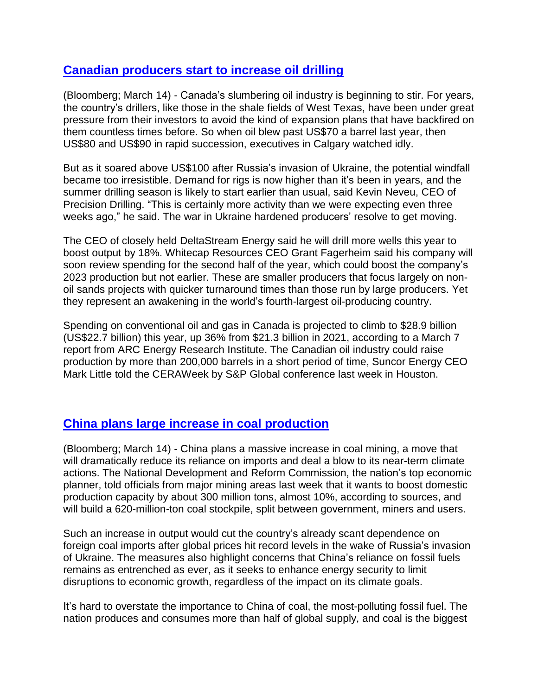# **[Canadian producers start to increase oil drilling](https://financialpost.com/commodities/energy/oil-gas/drillers-awaken-in-canada-after-russias-war-sends-oil-higher)**

(Bloomberg; March 14) - Canada's slumbering oil industry is beginning to stir. For years, the country's drillers, like those in the shale fields of West Texas, have been under great pressure from their investors to avoid the kind of expansion plans that have backfired on them countless times before. So when oil blew past US\$70 a barrel last year, then US\$80 and US\$90 in rapid succession, executives in Calgary watched idly.

But as it soared above US\$100 after Russia's invasion of Ukraine, the potential windfall became too irresistible. Demand for rigs is now higher than it's been in years, and the summer drilling season is likely to start earlier than usual, said Kevin Neveu, CEO of Precision Drilling. "This is certainly more activity than we were expecting even three weeks ago," he said. The war in Ukraine hardened producers' resolve to get moving.

The CEO of closely held DeltaStream Energy said he will drill more wells this year to boost output by 18%. Whitecap Resources CEO Grant Fagerheim said his company will soon review spending for the second half of the year, which could boost the company's 2023 production but not earlier. These are smaller producers that focus largely on nonoil sands projects with quicker turnaround times than those run by large producers. Yet they represent an awakening in the world's fourth-largest oil-producing country.

Spending on conventional oil and gas in Canada is projected to climb to \$28.9 billion (US\$22.7 billion) this year, up 36% from \$21.3 billion in 2021, according to a March 7 report from ARC Energy Research Institute. The Canadian oil industry could raise production by more than 200,000 barrels in a short period of time, Suncor Energy CEO Mark Little told the CERAWeek by S&P Global conference last week in Houston.

# **[China plans large increase in coal production](https://www.bnnbloomberg.ca/china-seeks-to-cut-reliance-on-coal-imports-with-mining-boom-1.1737096)**

(Bloomberg; March 14) - China plans a massive increase in coal mining, a move that will dramatically reduce its reliance on imports and deal a blow to its near-term climate actions. The National Development and Reform Commission, the nation's top economic planner, told officials from major mining areas last week that it wants to boost domestic production capacity by about 300 million tons, almost 10%, according to sources, and will build a 620-million-ton coal stockpile, split between government, miners and users.

Such an increase in output would cut the country's already scant dependence on foreign coal imports after global prices hit record levels in the wake of Russia's invasion of Ukraine. The measures also highlight concerns that China's reliance on fossil fuels remains as entrenched as ever, as it seeks to enhance energy security to limit disruptions to economic growth, regardless of the impact on its climate goals.

It's hard to overstate the importance to China of coal, the most-polluting fossil fuel. The nation produces and consumes more than half of global supply, and coal is the biggest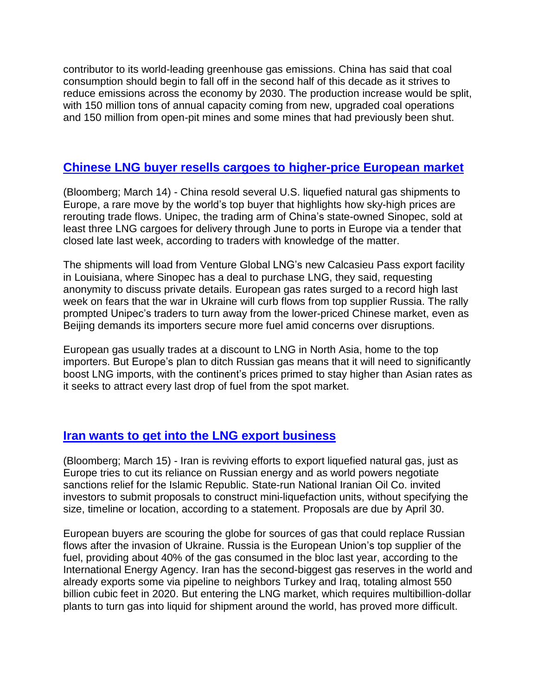contributor to its world-leading greenhouse gas emissions. China has said that coal consumption should begin to fall off in the second half of this decade as it strives to reduce emissions across the economy by 2030. The production increase would be split, with 150 million tons of annual capacity coming from new, upgraded coal operations and 150 million from open-pit mines and some mines that had previously been shut.

### **[Chinese LNG buyer resells cargoes to higher-price European market](https://www.bloomberg.com/news/articles/2022-03-15/china-sells-some-spare-u-s-gas-to-europe-for-a-hefty-profit?sref=wLQ557VG)**

(Bloomberg; March 14) - China resold several U.S. liquefied natural gas shipments to Europe, a rare move by the world's top buyer that highlights how sky-high prices are rerouting trade flows. Unipec, the trading arm of China's state-owned Sinopec, sold at least three LNG cargoes for delivery through June to ports in Europe via a tender that closed late last week, according to traders with knowledge of the matter.

The shipments will load from Venture Global LNG's new Calcasieu Pass export facility in Louisiana, where Sinopec has a deal to purchase LNG, they said, requesting anonymity to discuss private details. European gas rates surged to a record high last week on fears that the war in Ukraine will curb flows from top supplier Russia. The rally prompted Unipec's traders to turn away from the lower-priced Chinese market, even as Beijing demands its importers secure more fuel amid concerns over disruptions.

European gas usually trades at a discount to LNG in North Asia, home to the top importers. But Europe's plan to ditch Russian gas means that it will need to significantly boost LNG imports, with the continent's prices primed to stay higher than Asian rates as it seeks to attract every last drop of fuel from the spot market.

# **[Iran wants to get into the LNG export business](https://www.bloomberg.com/news/articles/2022-03-15/iran-revives-lng-export-plan-as-world-scrambles-for-natural-gas?sref=wLQ557VG)**

(Bloomberg; March 15) - Iran is reviving efforts to export liquefied natural gas, just as Europe tries to cut its reliance on Russian energy and as world powers negotiate sanctions relief for the Islamic Republic. State-run National Iranian Oil Co. invited investors to submit proposals to construct mini-liquefaction units, without specifying the size, timeline or location, according to a statement. Proposals are due by April 30.

European buyers are scouring the globe for sources of gas that could replace Russian flows after the invasion of Ukraine. Russia is the European Union's top supplier of the fuel, providing about 40% of the gas consumed in the bloc last year, according to the International Energy Agency. Iran has the second-biggest gas reserves in the world and already exports some via pipeline to neighbors Turkey and Iraq, totaling almost 550 billion cubic feet in 2020. But entering the LNG market, which requires multibillion-dollar plants to turn gas into liquid for shipment around the world, has proved more difficult.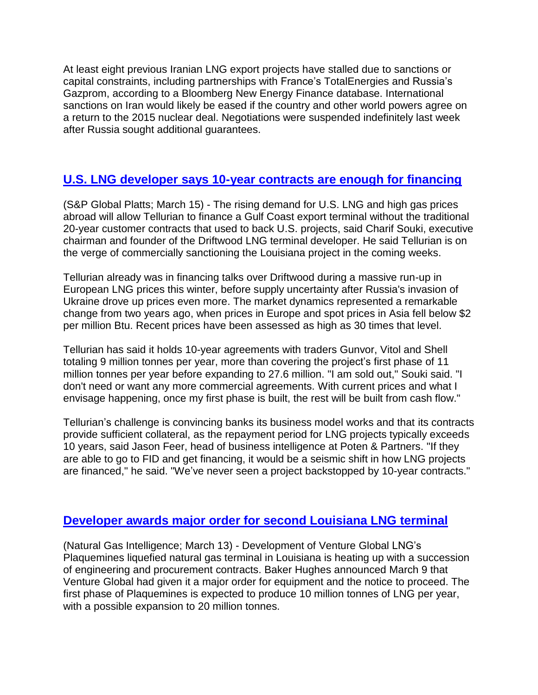At least eight previous Iranian LNG export projects have stalled due to sanctions or capital constraints, including partnerships with France's TotalEnergies and Russia's Gazprom, according to a Bloomberg New Energy Finance database. International sanctions on Iran would likely be eased if the country and other world powers agree on a return to the 2015 nuclear deal. Negotiations were suspended indefinitely last week after Russia sought additional guarantees.

# **[U.S. LNG developer says 10-year contracts are enough for financing](https://www.spglobal.com/commodity-insights/en/market-insights/latest-news/lng/031522-driftwood-lng-nears-fid-backed-by-10-year-contracts-in-break-from-norm)**

(S&P Global Platts; March 15) - The rising demand for U.S. LNG and high gas prices abroad will allow Tellurian to finance a Gulf Coast export terminal without the traditional 20-year customer contracts that used to back U.S. projects, said Charif Souki, executive chairman and founder of the Driftwood LNG terminal developer. He said Tellurian is on the verge of commercially sanctioning the Louisiana project in the coming weeks.

Tellurian already was in financing talks over Driftwood during a massive run-up in European LNG prices this winter, before supply uncertainty after Russia's invasion of Ukraine drove up prices even more. The market dynamics represented a remarkable change from two years ago, when prices in Europe and spot prices in Asia fell below \$2 per million Btu. Recent prices have been assessed as high as 30 times that level.

Tellurian has said it holds 10-year agreements with traders Gunvor, Vitol and Shell totaling 9 million tonnes per year, more than covering the project's first phase of 11 million tonnes per year before expanding to 27.6 million. "I am sold out," Souki said. "I don't need or want any more commercial agreements. With current prices and what I envisage happening, once my first phase is built, the rest will be built from cash flow."

Tellurian's challenge is convincing banks its business model works and that its contracts provide sufficient collateral, as the repayment period for LNG projects typically exceeds 10 years, said Jason Feer, head of business intelligence at Poten & Partners. "If they are able to go to FID and get financing, it would be a seismic shift in how LNG projects are financed," he said. "We've never seen a project backstopped by 10-year contracts."

### **[Developer awards major order for second Louisiana LNG terminal](https://www.naturalgasintel.com/venture-global-awards-batch-of-contracts-for-plaquemines-lng-development/)**

(Natural Gas Intelligence; March 13) - Development of Venture Global LNG's Plaquemines liquefied natural gas terminal in Louisiana is heating up with a succession of engineering and procurement contracts. Baker Hughes announced March 9 that Venture Global had given it a major order for equipment and the notice to proceed. The first phase of Plaquemines is expected to produce 10 million tonnes of LNG per year, with a possible expansion to 20 million tonnes.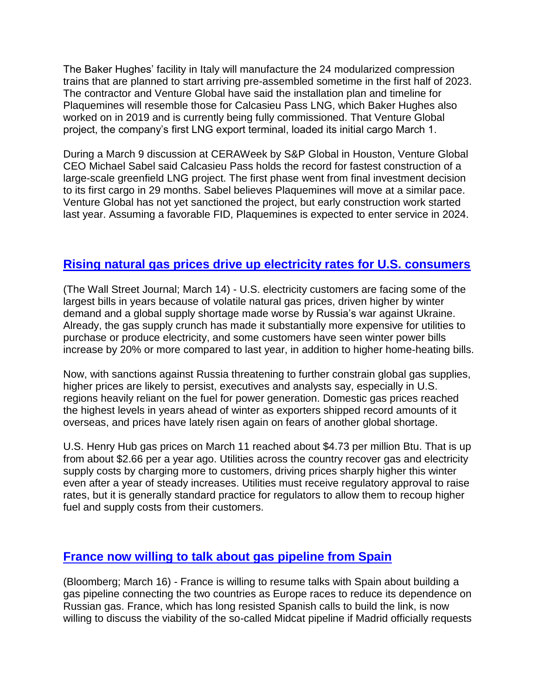The Baker Hughes' facility in Italy will manufacture the 24 modularized compression trains that are planned to start arriving pre-assembled sometime in the first half of 2023. The contractor and Venture Global have said the installation plan and timeline for Plaquemines will resemble those for Calcasieu Pass LNG, which Baker Hughes also worked on in 2019 and is currently being fully commissioned. That Venture Global project, the company's first LNG export terminal, loaded its initial cargo March 1.

During a March 9 discussion at CERAWeek by S&P Global in Houston, Venture Global CEO Michael Sabel said Calcasieu Pass holds the record for fastest construction of a large-scale greenfield LNG project. The first phase went from final investment decision to its first cargo in 29 months. Sabel believes Plaquemines will move at a similar pace. Venture Global has not yet sanctioned the project, but early construction work started last year. Assuming a favorable FID, Plaquemines is expected to enter service in 2024.

# **[Rising natural gas prices drive up electricity rates for U.S. consumers](https://www.wsj.com/articles/why-your-electric-bill-is-soaringand-likely-to-go-higher-11647250380?mod=itp_wsj&ru=yahoo)**

(The Wall Street Journal; March 14) - U.S. electricity customers are facing some of the largest bills in years because of volatile natural gas prices, driven higher by winter demand and a global supply shortage made worse by Russia's war against Ukraine. Already, the gas supply crunch has made it substantially more expensive for utilities to purchase or produce electricity, and some customers have seen winter power bills increase by 20% or more compared to last year, in addition to higher home-heating bills.

Now, with sanctions against Russia threatening to further constrain global gas supplies, higher prices are likely to persist, executives and analysts say, especially in U.S. regions heavily reliant on the fuel for power generation. Domestic gas prices reached the highest levels in years ahead of winter as exporters shipped record amounts of it overseas, and prices have lately risen again on fears of another global shortage.

U.S. Henry Hub gas prices on March 11 reached about \$4.73 per million Btu. That is up from about \$2.66 per a year ago. Utilities across the country recover gas and electricity supply costs by charging more to customers, driving prices sharply higher this winter even after a year of steady increases. Utilities must receive regulatory approval to raise rates, but it is generally standard practice for regulators to allow them to recoup higher fuel and supply costs from their customers.

### **[France now willing to talk about gas pipeline from Spain](https://www.bnnbloomberg.ca/france-opens-door-to-talks-with-spain-on-building-gas-pipeline-1.1738364)**

(Bloomberg; March 16) - France is willing to resume talks with Spain about building a gas pipeline connecting the two countries as Europe races to reduce its dependence on Russian gas. France, which has long resisted Spanish calls to build the link, is now willing to discuss the viability of the so-called Midcat pipeline if Madrid officially requests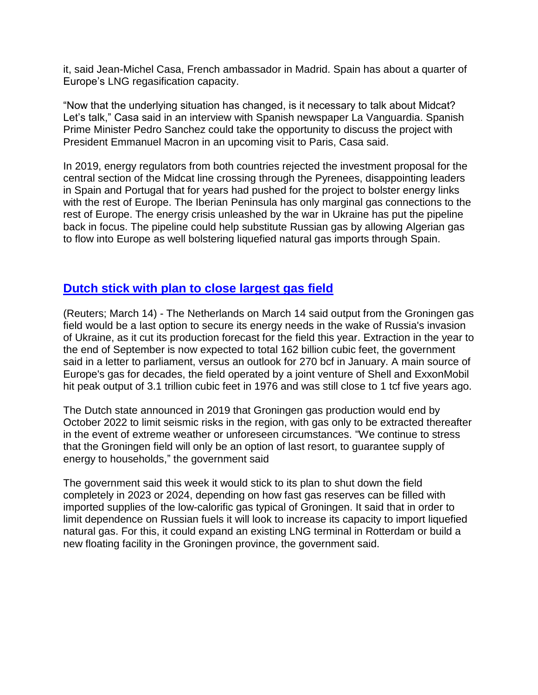it, said Jean-Michel Casa, French ambassador in Madrid. Spain has about a quarter of Europe's LNG regasification capacity.

"Now that the underlying situation has changed, is it necessary to talk about Midcat? Let's talk," Casa said in an interview with Spanish newspaper La Vanguardia. Spanish Prime Minister Pedro Sanchez could take the opportunity to discuss the project with President Emmanuel Macron in an upcoming visit to Paris, Casa said.

In 2019, energy regulators from both countries rejected the investment proposal for the central section of the Midcat line crossing through the Pyrenees, disappointing leaders in Spain and Portugal that for years had pushed for the project to bolster energy links with the rest of Europe. The Iberian Peninsula has only marginal gas connections to the rest of Europe. The energy crisis unleashed by the war in Ukraine has put the pipeline back in focus. The pipeline could help substitute Russian gas by allowing Algerian gas to flow into Europe as well bolstering liquefied natural gas imports through Spain.

### **[Dutch stick with plan to close largest gas field](https://www.nasdaq.com/articles/dutch-limit-gas-production-at-groningen-despite-energy-crisis)**

(Reuters; March 14) - The Netherlands on March 14 said output from the Groningen gas field would be a last option to secure its energy needs in the wake of Russia's invasion of Ukraine, as it cut its production forecast for the field this year. Extraction in the year to the end of September is now expected to total 162 billion cubic feet, the government said in a letter to parliament, versus an outlook for 270 bcf in January. A main source of Europe's gas for decades, the field operated by a joint venture of Shell and ExxonMobil hit peak output of 3.1 trillion cubic feet in 1976 and was still close to 1 tcf five years ago.

The Dutch state announced in 2019 that Groningen gas production would end by October 2022 to limit seismic risks in the region, with gas only to be extracted thereafter in the event of extreme weather or unforeseen circumstances. "We continue to stress that the Groningen field will only be an option of last resort, to guarantee supply of energy to households," the government said

The government said this week it would stick to its plan to shut down the field completely in 2023 or 2024, depending on how fast gas reserves can be filled with imported supplies of the low-calorific gas typical of Groningen. It said that in order to limit dependence on Russian fuels it will look to increase its capacity to import liquefied natural gas. For this, it could expand an existing LNG terminal in Rotterdam or build a new floating facility in the Groningen province, the government said.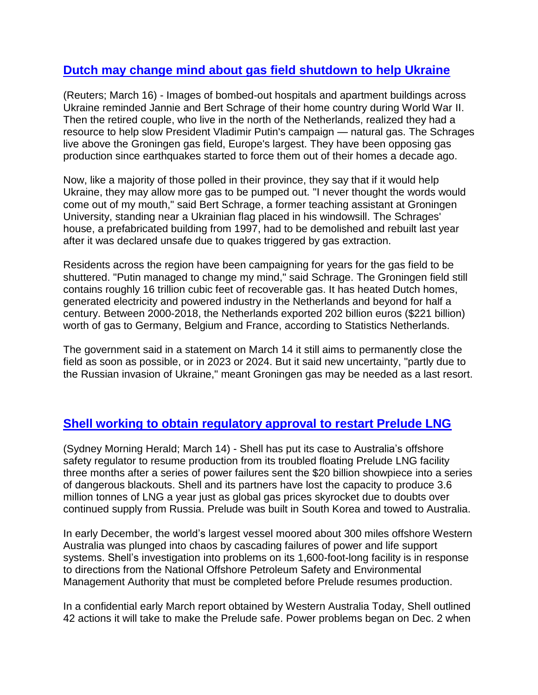# **[Dutch may change mind about gas field shutdown to help Ukraine](https://www.nasdaq.com/articles/insight-for-dutch-province-ukraine-war-is-a-call-to-pump-natural-gas-0)**

(Reuters; March 16) - Images of bombed-out hospitals and apartment buildings across Ukraine reminded Jannie and Bert Schrage of their home country during World War II. Then the retired couple, who live in the north of the Netherlands, realized they had a resource to help slow President Vladimir Putin's campaign — natural gas. The Schrages live above the Groningen gas field, Europe's largest. They have been opposing gas production since earthquakes started to force them out of their homes a decade ago.

Now, like a majority of those polled in their province, they say that if it would help Ukraine, they may allow more gas to be pumped out. "I never thought the words would come out of my mouth," said Bert Schrage, a former teaching assistant at Groningen University, standing near a Ukrainian flag placed in his windowsill. The Schrages' house, a prefabricated building from 1997, had to be demolished and rebuilt last year after it was declared unsafe due to quakes triggered by gas extraction.

Residents across the region have been campaigning for years for the gas field to be shuttered. "Putin managed to change my mind," said Schrage. The Groningen field still contains roughly 16 trillion cubic feet of recoverable gas. It has heated Dutch homes, generated electricity and powered industry in the Netherlands and beyond for half a century. Between 2000-2018, the Netherlands exported 202 billion euros (\$221 billion) worth of gas to Germany, Belgium and France, according to Statistics Netherlands.

The government said in a statement on March 14 it still aims to permanently close the field as soon as possible, or in 2023 or 2024. But it said new uncertainty, "partly due to the Russian invasion of Ukraine," meant Groningen gas may be needed as a last resort.

### **[Shell working to obtain regulatory approval to restart Prelude LNG](https://www.smh.com.au/national/shell-waits-on-regulator-s-ok-to-restart-troubled-prelude-as-gas-price-soars-20220311-p5a3yw.html)**

(Sydney Morning Herald; March 14) - Shell has put its case to Australia's offshore safety regulator to resume production from its troubled floating Prelude LNG facility three months after a series of power failures sent the \$20 billion showpiece into a series of dangerous blackouts. Shell and its partners have lost the capacity to produce 3.6 million tonnes of LNG a year just as global gas prices skyrocket due to doubts over continued supply from Russia. Prelude was built in South Korea and towed to Australia.

In early December, the world's largest vessel moored about 300 miles offshore Western Australia was plunged into chaos by cascading failures of power and life support systems. Shell's investigation into problems on its 1,600-foot-long facility is in response to directions from the National Offshore Petroleum Safety and Environmental Management Authority that must be completed before Prelude resumes production.

In a confidential early March report obtained by Western Australia Today, Shell outlined 42 actions it will take to make the Prelude safe. Power problems began on Dec. 2 when